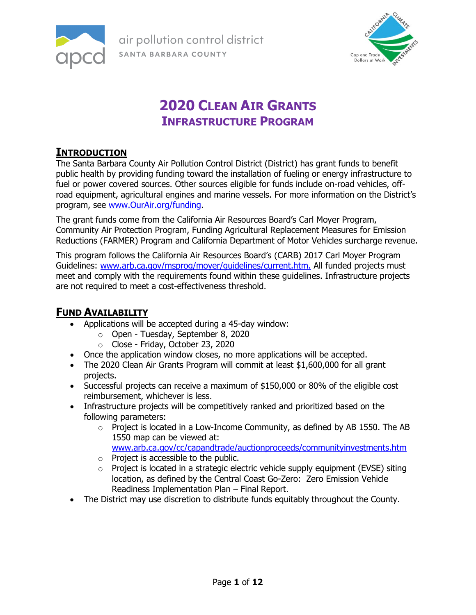

air pollution control district **apcd** SANTA BARBARA COUNTY



## **2020 CLEAN AIR GRANTS INFRASTRUCTURE PROGRAM**

### **INTRODUCTION**

The Santa Barbara County Air Pollution Control District (District) has grant funds to benefit public health by providing funding toward the installation of fueling or energy infrastructure to fuel or power covered sources. Other sources eligible for funds include on-road vehicles, offroad equipment, agricultural engines and marine vessels. For more information on the District's program, see [www.OurAir.org/funding.](http://www.ourair.org/funding)

The grant funds come from the California Air Resources Board's Carl Moyer Program, Community Air Protection Program, Funding Agricultural Replacement Measures for Emission Reductions (FARMER) Program and California Department of Motor Vehicles surcharge revenue.

This program follows the California Air Resources Board's (CARB) 2017 Carl Moyer Program Guidelines: [www.arb.ca.gov/msprog/moyer/guidelines/current.htm.](http://www.arb.ca.gov/msprog/moyer/guidelines/current.htm) All funded projects must meet and comply with the requirements found within these guidelines. Infrastructure projects are not required to meet a cost-effectiveness threshold.

### **FUND AVAILABILITY**

- Applications will be accepted during a 45-day window:
	- o Open Tuesday, September 8, 2020
	- o Close Friday, October 23, 2020
- Once the application window closes, no more applications will be accepted.
- The 2020 Clean Air Grants Program will commit at least \$1,600,000 for all grant projects.
- Successful projects can receive a maximum of \$150,000 or 80% of the eligible cost reimbursement, whichever is less.
- Infrastructure projects will be competitively ranked and prioritized based on the following parameters:
	- $\circ$  Project is located in a Low-Income Community, as defined by AB 1550. The AB 1550 map can be viewed at: [www.arb.ca.gov/cc/capandtrade/auctionproceeds/communityinvestments.htm](http://www.arb.ca.gov/cc/capandtrade/auctionproceeds/communityinvestments.htm)
	- o Project is accessible to the public.
	- $\circ$  Project is located in a strategic electric vehicle supply equipment (EVSE) siting location, as defined by the Central Coast Go-Zero: Zero Emission Vehicle Readiness Implementation Plan – Final Report.
- The District may use discretion to distribute funds equitably throughout the County.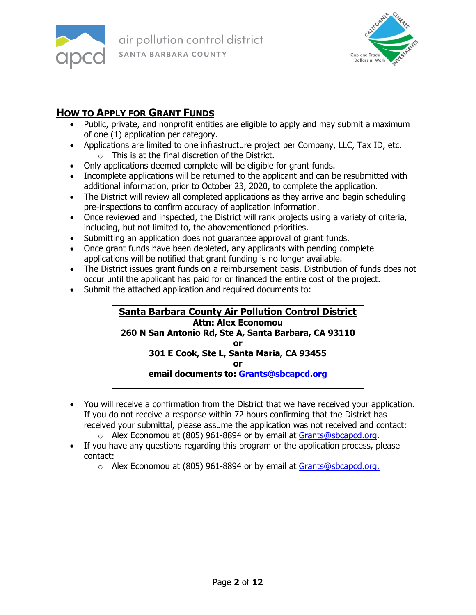



## **HOW TO APPLY FOR GRANT FUNDS**

- Public, private, and nonprofit entities are eligible to apply and may submit a maximum of one (1) application per category.
- Applications are limited to one infrastructure project per Company, LLC, Tax ID, etc. o This is at the final discretion of the District.
- Only applications deemed complete will be eligible for grant funds.
- Incomplete applications will be returned to the applicant and can be resubmitted with additional information, prior to October 23, 2020, to complete the application.
- The District will review all completed applications as they arrive and begin scheduling pre-inspections to confirm accuracy of application information.
- Once reviewed and inspected, the District will rank projects using a variety of criteria, including, but not limited to, the abovementioned priorities.
- Submitting an application does not guarantee approval of grant funds.
- Once grant funds have been depleted, any applicants with pending complete applications will be notified that grant funding is no longer available.
- The District issues grant funds on a reimbursement basis. Distribution of funds does not occur until the applicant has paid for or financed the entire cost of the project.
- Submit the attached application and required documents to:

#### **Santa Barbara County Air Pollution Control District Attn: Alex Economou 260 N San Antonio Rd, Ste A, Santa Barbara, CA 93110 or 301 E Cook, Ste L, Santa Maria, CA 93455 or email documents to: [Grants@sbcapcd.org](mailto:Grants@sbcapcd.org)**

- You will receive a confirmation from the District that we have received your application. If you do not receive a response within 72 hours confirming that the District has received your submittal, please assume the application was not received and contact:
	- o Alex Economou at (805) 961-8894 or by email at [Grants@sbcapcd.org.](mailto:Grants@sbcapcd.org)
- If you have any questions regarding this program or the application process, please contact:
	- o Alex Economou at (805) 961-8894 or by email at [Grants@sbcapcd.org.](mailto:Grants@sbcapcd.org)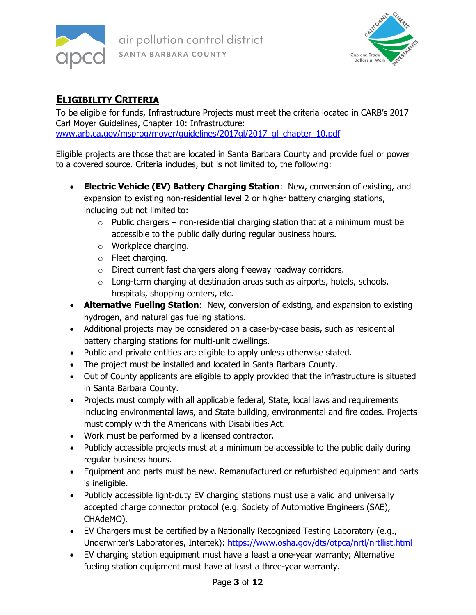



## **ELIGIBILITY CRITERIA**

To be eligible for funds, Infrastructure Projects must meet the criteria located in CARB's 2017 Carl Moyer Guidelines, Chapter 10: Infrastructure: [www.arb.ca.gov/msprog/moyer/guidelines/2017gl/2017\\_gl\\_chapter\\_10.pdf](http://www.arb.ca.gov/msprog/moyer/guidelines/2017gl/2017_gl_chapter_10.pdf)

Eligible projects are those that are located in Santa Barbara County and provide fuel or power to a covered source. Criteria includes, but is not limited to, the following:

- **Electric Vehicle (EV) Battery Charging Station**: New, conversion of existing, and expansion to existing non-residential level 2 or higher battery charging stations, including but not limited to:
	- $\circ$  Public chargers non-residential charging station that at a minimum must be accessible to the public daily during regular business hours.
	- o Workplace charging.
	- o Fleet charging.
	- o Direct current fast chargers along freeway roadway corridors.
	- o Long-term charging at destination areas such as airports, hotels, schools, hospitals, shopping centers, etc.
- **Alternative Fueling Station**: New, conversion of existing, and expansion to existing hydrogen, and natural gas fueling stations.
- Additional projects may be considered on a case-by-case basis, such as residential battery charging stations for multi-unit dwellings.
- Public and private entities are eligible to apply unless otherwise stated.
- The project must be installed and located in Santa Barbara County.
- Out of County applicants are eligible to apply provided that the infrastructure is situated in Santa Barbara County.
- Projects must comply with all applicable federal, State, local laws and requirements including environmental laws, and State building, environmental and fire codes. Projects must comply with the Americans with Disabilities Act.
- Work must be performed by a licensed contractor.
- Publicly accessible projects must at a minimum be accessible to the public daily during regular business hours.
- Equipment and parts must be new. Remanufactured or refurbished equipment and parts is ineligible.
- Publicly accessible light-duty EV charging stations must use a valid and universally accepted charge connector protocol (e.g. Society of Automotive Engineers (SAE), CHAdeMO).
- EV Chargers must be certified by a Nationally Recognized Testing Laboratory (e.g., Underwriter's Laboratories, Intertek):<https://www.osha.gov/dts/otpca/nrtl/nrtllist.html>
- EV charging station equipment must have a least a one-year warranty; Alternative fueling station equipment must have at least a three-year warranty.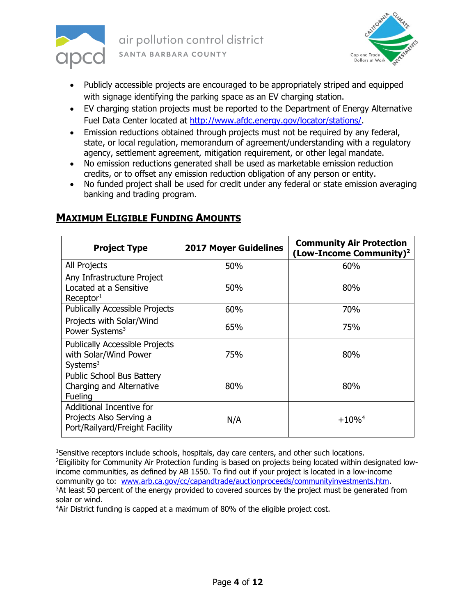



- Publicly accessible projects are encouraged to be appropriately striped and equipped with signage identifying the parking space as an EV charging station.
- EV charging station projects must be reported to the Department of Energy Alternative Fuel Data Center located at [http://www.afdc.energy.gov/locator/stations/.](http://www.afdc.energy.gov/locator/stations/)
- Emission reductions obtained through projects must not be required by any federal, state, or local regulation, memorandum of agreement/understanding with a regulatory agency, settlement agreement, mitigation requirement, or other legal mandate.
- No emission reductions generated shall be used as marketable emission reduction credits, or to offset any emission reduction obligation of any person or entity.
- No funded project shall be used for credit under any federal or state emission averaging banking and trading program.

| <b>Project Type</b>                                                                    | <b>2017 Moyer Guidelines</b> | <b>Community Air Protection</b><br>(Low-Income Community) <sup>2</sup> |
|----------------------------------------------------------------------------------------|------------------------------|------------------------------------------------------------------------|
| All Projects                                                                           | 50%                          | 60%                                                                    |
| Any Infrastructure Project<br>Located at a Sensitive<br>Receptor <sup>1</sup>          | 50%                          | 80%                                                                    |
| <b>Publically Accessible Projects</b>                                                  | 60%                          | 70%                                                                    |
| Projects with Solar/Wind<br>Power Systems <sup>3</sup>                                 | 65%                          | 75%                                                                    |
| <b>Publically Accessible Projects</b><br>with Solar/Wind Power<br>Systems <sup>3</sup> | 75%                          | 80%                                                                    |
| <b>Public School Bus Battery</b><br>Charging and Alternative<br>Fueling                | 80%                          | 80%                                                                    |
| Additional Incentive for<br>Projects Also Serving a<br>Port/Railyard/Freight Facility  | N/A                          | $+10\%$ <sup>4</sup>                                                   |

## **MAXIMUM ELIGIBLE FUNDING AMOUNTS**

<sup>1</sup>Sensitive receptors include schools, hospitals, day care centers, and other such locations. <sup>2</sup>Eligilibity for Community Air Protection funding is based on projects being located within designated lowincome communities, as defined by AB 1550. To find out if your project is located in a low-income community go to: [www.arb.ca.gov/cc/capandtrade/auctionproceeds/communityinvestments.htm.](http://www.arb.ca.gov/cc/capandtrade/auctionproceeds/communityinvestments.htm) <sup>3</sup>At least 50 percent of the energy provided to covered sources by the project must be generated from solar or wind.

<sup>4</sup>Air District funding is capped at a maximum of 80% of the eligible project cost.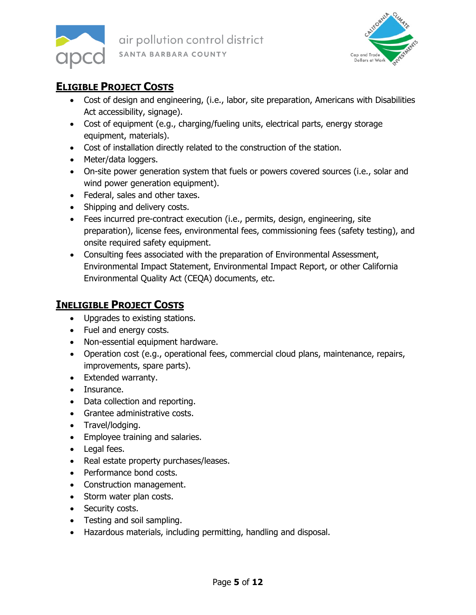



## **ELIGIBLE PROJECT COSTS**

- Cost of design and engineering, (i.e., labor, site preparation, Americans with Disabilities Act accessibility, signage).
- Cost of equipment (e.g., charging/fueling units, electrical parts, energy storage equipment, materials).
- Cost of installation directly related to the construction of the station.
- Meter/data loggers.
- On-site power generation system that fuels or powers covered sources (i.e., solar and wind power generation equipment).
- Federal, sales and other taxes.
- Shipping and delivery costs.
- Fees incurred pre-contract execution (i.e., permits, design, engineering, site preparation), license fees, environmental fees, commissioning fees (safety testing), and onsite required safety equipment.
- Consulting fees associated with the preparation of Environmental Assessment, Environmental Impact Statement, Environmental Impact Report, or other California Environmental Quality Act (CEQA) documents, etc.

## **INELIGIBLE PROJECT COSTS**

- Upgrades to existing stations.
- Fuel and energy costs.
- Non-essential equipment hardware.
- Operation cost (e.g., operational fees, commercial cloud plans, maintenance, repairs, improvements, spare parts).
- Extended warranty.
- Insurance.
- Data collection and reporting.
- Grantee administrative costs.
- Travel/lodging.
- Employee training and salaries.
- Legal fees.
- Real estate property purchases/leases.
- Performance bond costs.
- Construction management.
- Storm water plan costs.
- Security costs.
- Testing and soil sampling.
- Hazardous materials, including permitting, handling and disposal.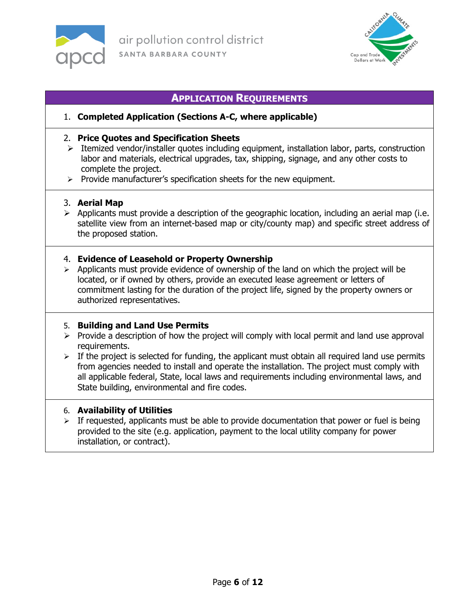



#### **APPLICATION REQUIREMENTS**

#### 1. **Completed Application (Sections A-C, where applicable)**

#### 2. **Price Quotes and Specification Sheets**

- $\triangleright$  Itemized vendor/installer quotes including equipment, installation labor, parts, construction labor and materials, electrical upgrades, tax, shipping, signage, and any other costs to complete the project.
- $\triangleright$  Provide manufacturer's specification sheets for the new equipment.

#### 3. **Aerial Map**

 $\triangleright$  Applicants must provide a description of the geographic location, including an aerial map (i.e. satellite view from an internet-based map or city/county map) and specific street address of the proposed station.

#### 4. **Evidence of Leasehold or Property Ownership**

 $\triangleright$  Applicants must provide evidence of ownership of the land on which the project will be located, or if owned by others, provide an executed lease agreement or letters of commitment lasting for the duration of the project life, signed by the property owners or authorized representatives.

#### 5. **Building and Land Use Permits**

- $\triangleright$  Provide a description of how the project will comply with local permit and land use approval requirements.
- $\triangleright$  If the project is selected for funding, the applicant must obtain all required land use permits from agencies needed to install and operate the installation. The project must comply with all applicable federal, State, local laws and requirements including environmental laws, and State building, environmental and fire codes.

#### 6. **Availability of Utilities**

 $\triangleright$  If requested, applicants must be able to provide documentation that power or fuel is being provided to the site (e.g. application, payment to the local utility company for power installation, or contract).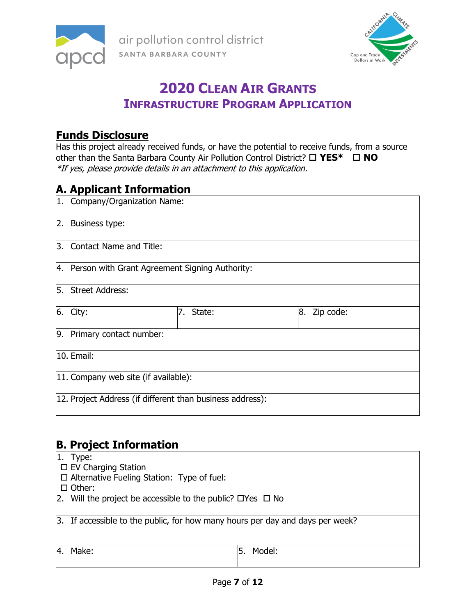



## **2020 CLEAN AIR GRANTS INFRASTRUCTURE PROGRAM APPLICATION**

## **Funds Disclosure**

Has this project already received funds, or have the potential to receive funds, from a source other than the Santa Barbara County Air Pollution Control District? **YES\* NO** \*If yes, please provide details in an attachment to this application.

## **A. Applicant Information**

|                  | 1. Company/Organization Name:                             |           |                 |  |  |
|------------------|-----------------------------------------------------------|-----------|-----------------|--|--|
|                  | 2. Business type:                                         |           |                 |  |  |
| $\overline{3}$ . | Contact Name and Title:                                   |           |                 |  |  |
|                  | 4. Person with Grant Agreement Signing Authority:         |           |                 |  |  |
|                  | 5. Street Address:                                        |           |                 |  |  |
|                  | $6.$ City:                                                | 7. State: | 8.<br>Zip code: |  |  |
|                  | 9. Primary contact number:                                |           |                 |  |  |
|                  | 10. Email:                                                |           |                 |  |  |
|                  | 11. Company web site (if available):                      |           |                 |  |  |
|                  | 12. Project Address (if different than business address): |           |                 |  |  |

## **B. Project Information**

| I1.<br>Type:                                                                    |  |  |  |
|---------------------------------------------------------------------------------|--|--|--|
| $\Box$ EV Charging Station                                                      |  |  |  |
| $\Box$ Alternative Fueling Station: Type of fuel:                               |  |  |  |
| $\Box$ Other:                                                                   |  |  |  |
| 2. Will the project be accessible to the public? $\Box$ Yes $\Box$ No           |  |  |  |
|                                                                                 |  |  |  |
| [3. If accessible to the public, for how many hours per day and days per week?] |  |  |  |
|                                                                                 |  |  |  |
|                                                                                 |  |  |  |
| Model:<br>Make:                                                                 |  |  |  |
|                                                                                 |  |  |  |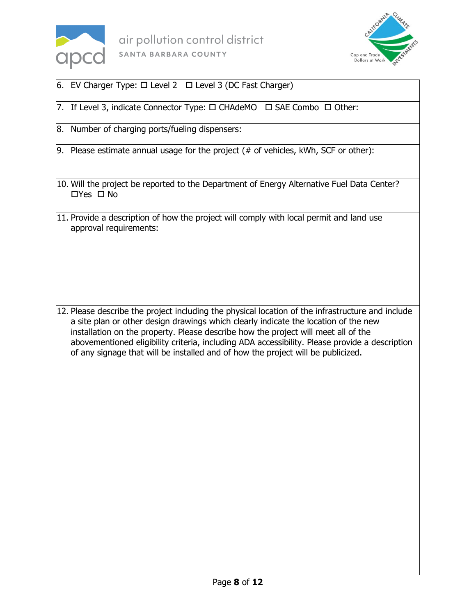



- 6. EV Charger Type:  $\Box$  Level 2  $\Box$  Level 3 (DC Fast Charger)
- 7. If Level 3, indicate Connector Type:  $\Box$  CHAdeMO  $\Box$  SAE Combo  $\Box$  Other:
- 8. Number of charging ports/fueling dispensers:
- 9. Please estimate annual usage for the project  $( # of vehicles, kWh, SCF or other):$
- 10. Will the project be reported to the Department of Energy Alternative Fuel Data Center?  $\Box$ Yes  $\Box$  No
- 11. Provide a description of how the project will comply with local permit and land use approval requirements:

12. Please describe the project including the physical location of the infrastructure and include a site plan or other design drawings which clearly indicate the location of the new installation on the property. Please describe how the project will meet all of the abovementioned eligibility criteria, including ADA accessibility. Please provide a description of any signage that will be installed and of how the project will be publicized.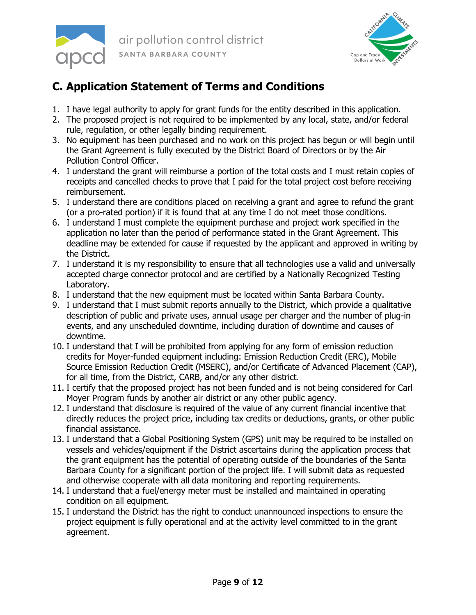



## **C. Application Statement of Terms and Conditions**

- 1. I have legal authority to apply for grant funds for the entity described in this application.
- 2. The proposed project is not required to be implemented by any local, state, and/or federal rule, regulation, or other legally binding requirement.
- 3. No equipment has been purchased and no work on this project has begun or will begin until the Grant Agreement is fully executed by the District Board of Directors or by the Air Pollution Control Officer.
- 4. I understand the grant will reimburse a portion of the total costs and I must retain copies of receipts and cancelled checks to prove that I paid for the total project cost before receiving reimbursement.
- 5. I understand there are conditions placed on receiving a grant and agree to refund the grant (or a pro-rated portion) if it is found that at any time I do not meet those conditions.
- 6. I understand I must complete the equipment purchase and project work specified in the application no later than the period of performance stated in the Grant Agreement. This deadline may be extended for cause if requested by the applicant and approved in writing by the District.
- 7. I understand it is my responsibility to ensure that all technologies use a valid and universally accepted charge connector protocol and are certified by a Nationally Recognized Testing Laboratory.
- 8. I understand that the new equipment must be located within Santa Barbara County.
- 9. I understand that I must submit reports annually to the District, which provide a qualitative description of public and private uses, annual usage per charger and the number of plug-in events, and any unscheduled downtime, including duration of downtime and causes of downtime.
- 10. I understand that I will be prohibited from applying for any form of emission reduction credits for Moyer-funded equipment including: Emission Reduction Credit (ERC), Mobile Source Emission Reduction Credit (MSERC), and/or Certificate of Advanced Placement (CAP), for all time, from the District, CARB, and/or any other district.
- 11. I certify that the proposed project has not been funded and is not being considered for Carl Moyer Program funds by another air district or any other public agency.
- 12. I understand that disclosure is required of the value of any current financial incentive that directly reduces the project price, including tax credits or deductions, grants, or other public financial assistance.
- 13. I understand that a Global Positioning System (GPS) unit may be required to be installed on vessels and vehicles/equipment if the District ascertains during the application process that the grant equipment has the potential of operating outside of the boundaries of the Santa Barbara County for a significant portion of the project life. I will submit data as requested and otherwise cooperate with all data monitoring and reporting requirements.
- 14. I understand that a fuel/energy meter must be installed and maintained in operating condition on all equipment.
- 15. I understand the District has the right to conduct unannounced inspections to ensure the project equipment is fully operational and at the activity level committed to in the grant agreement.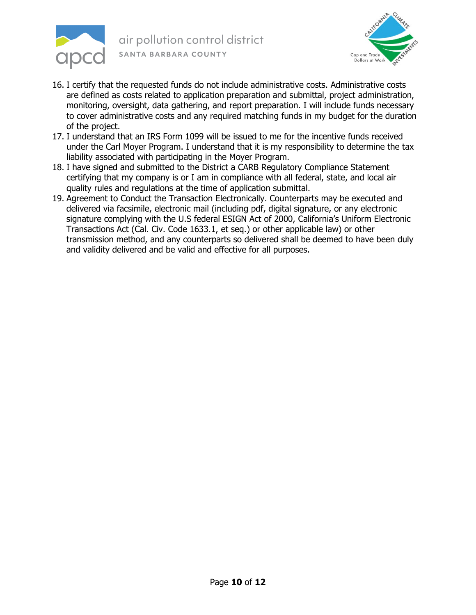



- 16. I certify that the requested funds do not include administrative costs. Administrative costs are defined as costs related to application preparation and submittal, project administration, monitoring, oversight, data gathering, and report preparation. I will include funds necessary to cover administrative costs and any required matching funds in my budget for the duration of the project.
- 17. I understand that an IRS Form 1099 will be issued to me for the incentive funds received under the Carl Moyer Program. I understand that it is my responsibility to determine the tax liability associated with participating in the Moyer Program.
- 18. I have signed and submitted to the District a CARB Regulatory Compliance Statement certifying that my company is or I am in compliance with all federal, state, and local air quality rules and regulations at the time of application submittal.
- 19. Agreement to Conduct the Transaction Electronically. Counterparts may be executed and delivered via facsimile, electronic mail (including pdf, digital signature, or any electronic signature complying with the U.S federal ESIGN Act of 2000, California's Uniform Electronic Transactions Act (Cal. Civ. Code 1633.1, et seq.) or other applicable law) or other transmission method, and any counterparts so delivered shall be deemed to have been duly and validity delivered and be valid and effective for all purposes.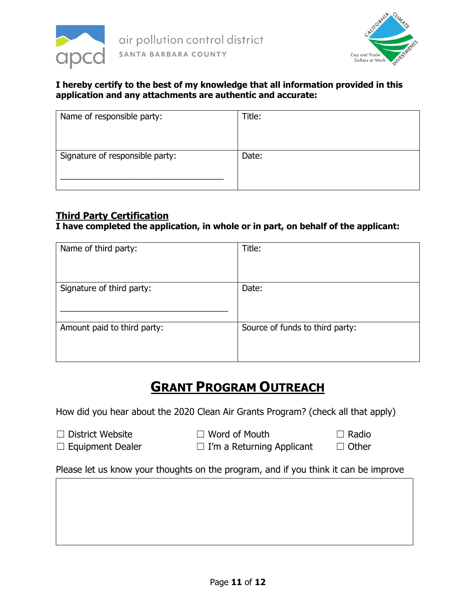



#### **I hereby certify to the best of my knowledge that all information provided in this application and any attachments are authentic and accurate:**

| Title: |
|--------|
|        |
| Date:  |
|        |
|        |

#### **Third Party Certification**

#### **I have completed the application, in whole or in part, on behalf of the applicant:**

| Name of third party:        | Title:                          |
|-----------------------------|---------------------------------|
|                             |                                 |
|                             |                                 |
| Signature of third party:   | Date:                           |
|                             |                                 |
|                             |                                 |
| Amount paid to third party: | Source of funds to third party: |
|                             |                                 |
|                             |                                 |

## **GRANT PROGRAM OUTREACH**

How did you hear about the 2020 Clean Air Grants Program? (check all that apply)

- 
- ☐ District Website ☐ Word of Mouth ☐ Radio

- ☐ Equipment Dealer ☐ I'm a Returning Applicant ☐ Other
- 

Please let us know your thoughts on the program, and if you think it can be improve